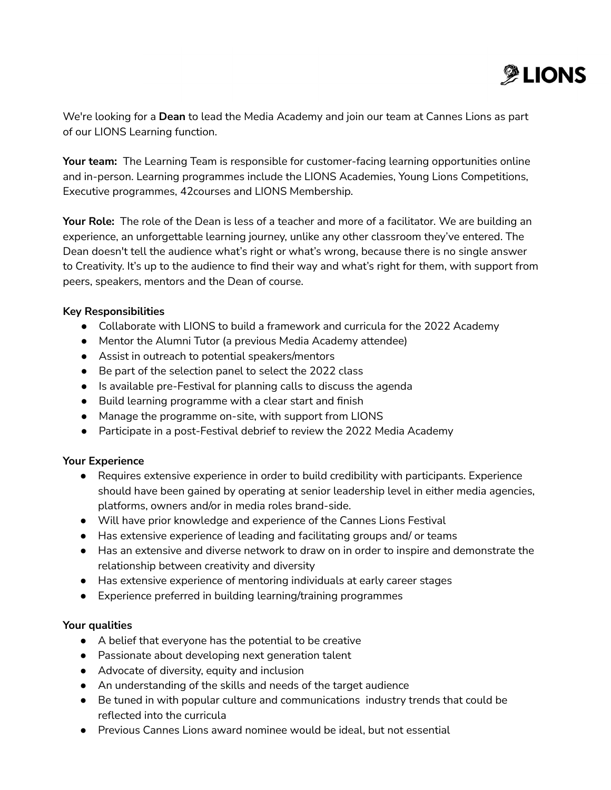

We're looking for a **Dean** to lead the Media Academy and join our team at Cannes Lions as part of our LIONS Learning function.

**Your team:** The Learning Team is responsible for customer-facing learning opportunities online and in-person. Learning programmes include the LIONS Academies, Young Lions Competitions, Executive programmes, 42courses and LIONS Membership.

**Your Role:** The role of the Dean is less of a teacher and more of a facilitator. We are building an experience, an unforgettable learning journey, unlike any other classroom they've entered. The Dean doesn't tell the audience what's right or what's wrong, because there is no single answer to Creativity. It's up to the audience to find their way and what's right for them, with support from peers, speakers, mentors and the Dean of course.

# **Key Responsibilities**

- Collaborate with LIONS to build a framework and curricula for the 2022 Academy
- Mentor the Alumni Tutor (a previous Media Academy attendee)
- Assist in outreach to potential speakers/mentors
- Be part of the selection panel to select the 2022 class
- Is available pre-Festival for planning calls to discuss the agenda
- Build learning programme with a clear start and finish
- Manage the programme on-site, with support from LIONS
- Participate in a post-Festival debrief to review the 2022 Media Academy

# **Your Experience**

- Requires extensive experience in order to build credibility with participants. Experience should have been gained by operating at senior leadership level in either media agencies, platforms, owners and/or in media roles brand-side.
- Will have prior knowledge and experience of the Cannes Lions Festival
- Has extensive experience of leading and facilitating groups and/ or teams
- Has an extensive and diverse network to draw on in order to inspire and demonstrate the relationship between creativity and diversity
- Has extensive experience of mentoring individuals at early career stages
- Experience preferred in building learning/training programmes

# **Your qualities**

- A belief that everyone has the potential to be creative
- Passionate about developing next generation talent
- Advocate of diversity, equity and inclusion
- An understanding of the skills and needs of the target audience
- Be tuned in with popular culture and communications industry trends that could be reflected into the curricula
- Previous Cannes Lions award nominee would be ideal, but not essential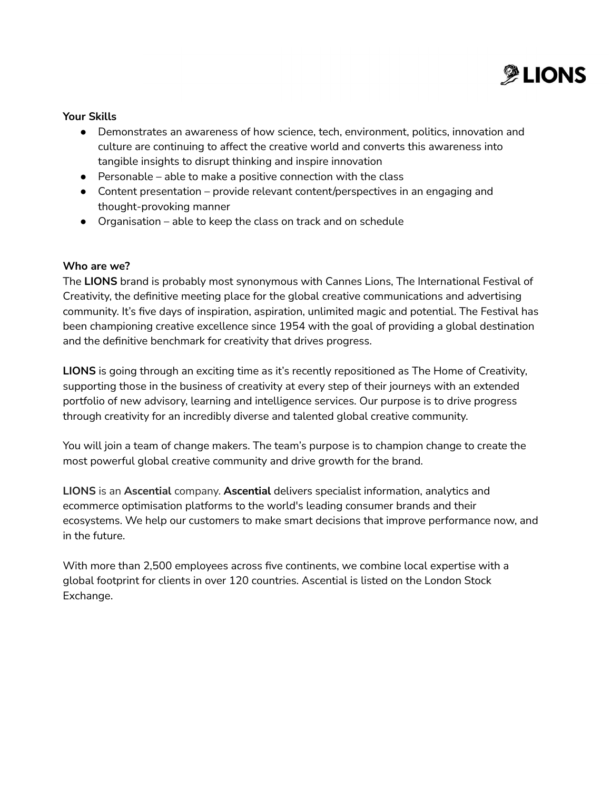

## **Your Skills**

- Demonstrates an awareness of how science, tech, environment, politics, innovation and culture are continuing to affect the creative world and converts this awareness into tangible insights to disrupt thinking and inspire innovation
- $\bullet$  Personable able to make a positive connection with the class
- Content presentation provide relevant content/perspectives in an engaging and thought-provoking manner
- Organisation able to keep the class on track and on schedule

# **Who are we?**

The **LIONS** brand is probably most synonymous with Cannes Lions, The International Festival of Creativity, the definitive meeting place for the global creative communications and advertising community. It's five days of inspiration, aspiration, unlimited magic and potential. The Festival has been championing creative excellence since 1954 with the goal of providing a global destination and the definitive benchmark for creativity that drives progress.

**LIONS** is going through an exciting time as it's recently repositioned as The Home of Creativity, supporting those in the business of creativity at every step of their journeys with an extended portfolio of new advisory, learning and intelligence services. Our purpose is to drive progress through creativity for an incredibly diverse and talented global creative community.

You will join a team of change makers. The team's purpose is to champion change to create the most powerful global creative community and drive growth for the brand.

**LIONS** is an **Ascential** company. **Ascential** delivers specialist information, analytics and ecommerce optimisation platforms to the world's leading consumer brands and their ecosystems. We help our customers to make smart decisions that improve performance now, and in the future.

With more than 2,500 employees across five continents, we combine local expertise with a global footprint for clients in over 120 countries. Ascential is listed on the London Stock Exchange.